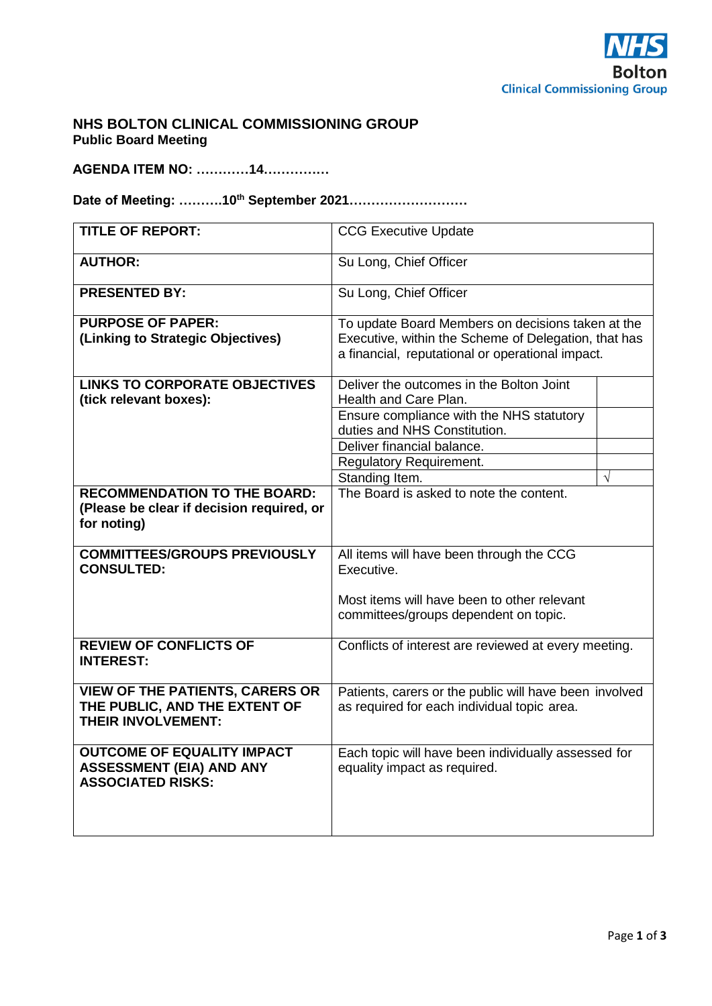

## **NHS BOLTON CLINICAL COMMISSIONING GROUP Public Board Meeting**

**AGENDA ITEM NO: …………14……………**

# **Date of Meeting: ……….10th September 2021………………………**

| <b>TITLE OF REPORT:</b>                                                                              | <b>CCG Executive Update</b>                                                                           |           |
|------------------------------------------------------------------------------------------------------|-------------------------------------------------------------------------------------------------------|-----------|
| <b>AUTHOR:</b>                                                                                       | Su Long, Chief Officer                                                                                |           |
| <b>PRESENTED BY:</b>                                                                                 | Su Long, Chief Officer                                                                                |           |
| <b>PURPOSE OF PAPER:</b>                                                                             | To update Board Members on decisions taken at the                                                     |           |
| (Linking to Strategic Objectives)                                                                    | Executive, within the Scheme of Delegation, that has                                                  |           |
|                                                                                                      | a financial, reputational or operational impact.                                                      |           |
| <b>LINKS TO CORPORATE OBJECTIVES</b>                                                                 | Deliver the outcomes in the Bolton Joint                                                              |           |
| (tick relevant boxes):                                                                               | Health and Care Plan.                                                                                 |           |
|                                                                                                      | Ensure compliance with the NHS statutory                                                              |           |
|                                                                                                      | duties and NHS Constitution.                                                                          |           |
|                                                                                                      | Deliver financial balance.                                                                            |           |
|                                                                                                      | <b>Regulatory Requirement.</b>                                                                        |           |
|                                                                                                      | Standing Item.                                                                                        | $\sqrt{}$ |
| <b>RECOMMENDATION TO THE BOARD:</b><br>(Please be clear if decision required, or                     | The Board is asked to note the content.                                                               |           |
| for noting)                                                                                          |                                                                                                       |           |
| <b>COMMITTEES/GROUPS PREVIOUSLY</b><br><b>CONSULTED:</b>                                             | All items will have been through the CCG<br>Executive.                                                |           |
|                                                                                                      | Most items will have been to other relevant                                                           |           |
|                                                                                                      | committees/groups dependent on topic.                                                                 |           |
|                                                                                                      |                                                                                                       |           |
| <b>REVIEW OF CONFLICTS OF</b><br><b>INTEREST:</b>                                                    | Conflicts of interest are reviewed at every meeting.                                                  |           |
| <b>VIEW OF THE PATIENTS, CARERS OR</b><br>THE PUBLIC, AND THE EXTENT OF<br><b>THEIR INVOLVEMENT:</b> | Patients, carers or the public will have been involved<br>as required for each individual topic area. |           |
| <b>OUTCOME OF EQUALITY IMPACT</b><br><b>ASSESSMENT (EIA) AND ANY</b><br><b>ASSOCIATED RISKS:</b>     | Each topic will have been individually assessed for<br>equality impact as required.                   |           |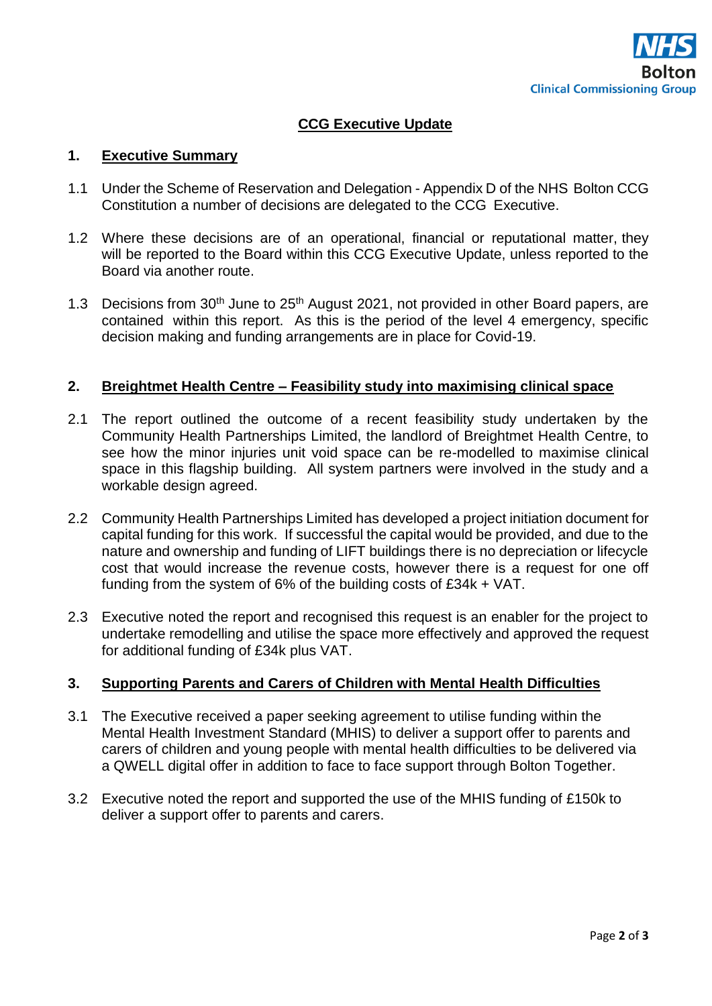# **CCG Executive Update**

## **1. Executive Summary**

- 1.1 Under the Scheme of Reservation and Delegation Appendix D of the NHS Bolton CCG Constitution a number of decisions are delegated to the CCG Executive.
- 1.2 Where these decisions are of an operational, financial or reputational matter, they will be reported to the Board within this CCG Executive Update, unless reported to the Board via another route.
- 1.3 Decisions from 30<sup>th</sup> June to 25<sup>th</sup> August 2021, not provided in other Board papers, are contained within this report. As this is the period of the level 4 emergency, specific decision making and funding arrangements are in place for Covid-19.

### **2. Breightmet Health Centre – Feasibility study into maximising clinical space**

- 2.1 The report outlined the outcome of a recent feasibility study undertaken by the Community Health Partnerships Limited, the landlord of Breightmet Health Centre, to see how the minor injuries unit void space can be re-modelled to maximise clinical space in this flagship building. All system partners were involved in the study and a workable design agreed.
- 2.2 Community Health Partnerships Limited has developed a project initiation document for capital funding for this work. If successful the capital would be provided, and due to the nature and ownership and funding of LIFT buildings there is no depreciation or lifecycle cost that would increase the revenue costs, however there is a request for one off funding from the system of 6% of the building costs of £34k + VAT.
- 2.3 Executive noted the report and recognised this request is an enabler for the project to undertake remodelling and utilise the space more effectively and approved the request for additional funding of £34k plus VAT.

#### **3. Supporting Parents and Carers of Children with Mental Health Difficulties**

- 3.1 The Executive received a paper seeking agreement to utilise funding within the Mental Health Investment Standard (MHIS) to deliver a support offer to parents and carers of children and young people with mental health difficulties to be delivered via a QWELL digital offer in addition to face to face support through Bolton Together.
- 3.2 Executive noted the report and supported the use of the MHIS funding of £150k to deliver a support offer to parents and carers.